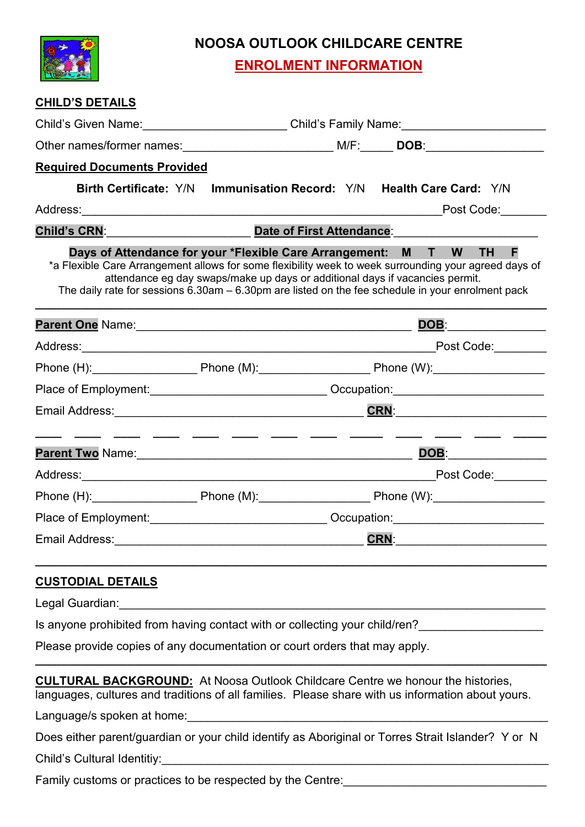

# **NOOSA OUTLOOK CHILDCARE CENTRE**

**ENROLMENT INFORMATION**

| <b>CHILD'S DETAILS</b>                                                                                              |                                                                                                                                                                                                                                                                                                                                                                      |                                      |  |
|---------------------------------------------------------------------------------------------------------------------|----------------------------------------------------------------------------------------------------------------------------------------------------------------------------------------------------------------------------------------------------------------------------------------------------------------------------------------------------------------------|--------------------------------------|--|
|                                                                                                                     | Child's Given Name: Child's Family Name: Child's Family Name:                                                                                                                                                                                                                                                                                                        |                                      |  |
|                                                                                                                     |                                                                                                                                                                                                                                                                                                                                                                      |                                      |  |
| <b>Required Documents Provided</b>                                                                                  |                                                                                                                                                                                                                                                                                                                                                                      |                                      |  |
|                                                                                                                     | Birth Certificate: Y/N Immunisation Record: Y/N Health Care Card: Y/N                                                                                                                                                                                                                                                                                                |                                      |  |
|                                                                                                                     | Post Code: <u>New York Code</u>                                                                                                                                                                                                                                                                                                                                      |                                      |  |
| Child's CRN: The Child of School and The Child's CRN:                                                               | Date of First Attendance:                                                                                                                                                                                                                                                                                                                                            |                                      |  |
|                                                                                                                     | Days of Attendance for your *Flexible Care Arrangement: M T W TH<br>*a Flexible Care Arrangement allows for some flexibility week to week surrounding your agreed days of<br>attendance eg day swaps/make up days or additional days if vacancies permit.<br>The daily rate for sessions $6.30$ am $- 6.30$ pm are listed on the fee schedule in your enrolment pack | F                                    |  |
|                                                                                                                     | Parent One Name: Manner All Done Communication of the Manual Done DOB:                                                                                                                                                                                                                                                                                               |                                      |  |
|                                                                                                                     |                                                                                                                                                                                                                                                                                                                                                                      | Post Code:                           |  |
|                                                                                                                     | Phone (H): Phone (M): Phone (M): Phone (W): Phone (W):                                                                                                                                                                                                                                                                                                               |                                      |  |
|                                                                                                                     | Place of Employment:________________________________Occupation:__________________                                                                                                                                                                                                                                                                                    |                                      |  |
|                                                                                                                     |                                                                                                                                                                                                                                                                                                                                                                      |                                      |  |
|                                                                                                                     | Parent Two Name: Mannell Annual Mannell Annual Mannell Annual Mannell Annual Mannell Annual Mannell Annual Man                                                                                                                                                                                                                                                       | DOB: <b>DOB</b>                      |  |
|                                                                                                                     |                                                                                                                                                                                                                                                                                                                                                                      |                                      |  |
|                                                                                                                     | Phone (H): Phone (M): Phone (M): Phone (W): Phone (W):                                                                                                                                                                                                                                                                                                               |                                      |  |
|                                                                                                                     |                                                                                                                                                                                                                                                                                                                                                                      |                                      |  |
| Email Address: No. 2014 19:00:00 PM and Address: No. 2014 19:00:00 PM and Address: No. 2014 19:00:00 PM and Address |                                                                                                                                                                                                                                                                                                                                                                      | <u>CRN: ________________________</u> |  |
| <b>CUSTODIAL DETAILS</b>                                                                                            |                                                                                                                                                                                                                                                                                                                                                                      |                                      |  |
| Legal Guardian:                                                                                                     |                                                                                                                                                                                                                                                                                                                                                                      |                                      |  |

Is anyone prohibited from having contact with or collecting your child/ren?

Please provide copies of any documentation or court orders that may apply.

**CULTURAL BACKGROUND:** At Noosa Outlook Childcare Centre we honour the histories, languages, cultures and traditions of all families. Please share with us information about yours.

**\_\_\_\_\_\_\_\_\_\_\_\_\_\_\_\_\_\_\_\_\_\_\_\_\_\_\_\_\_\_\_\_\_\_\_\_\_\_\_\_\_\_\_\_\_\_\_\_\_\_\_\_\_\_\_\_\_\_\_\_\_\_\_\_\_\_\_\_\_\_\_\_\_\_\_\_\_\_**

Language/s spoken at home:

Does either parent/guardian or your child identify as Aboriginal or Torres Strait Islander? Y or N

Child's Cultural Identitiy:

Family customs or practices to be respected by the Centre: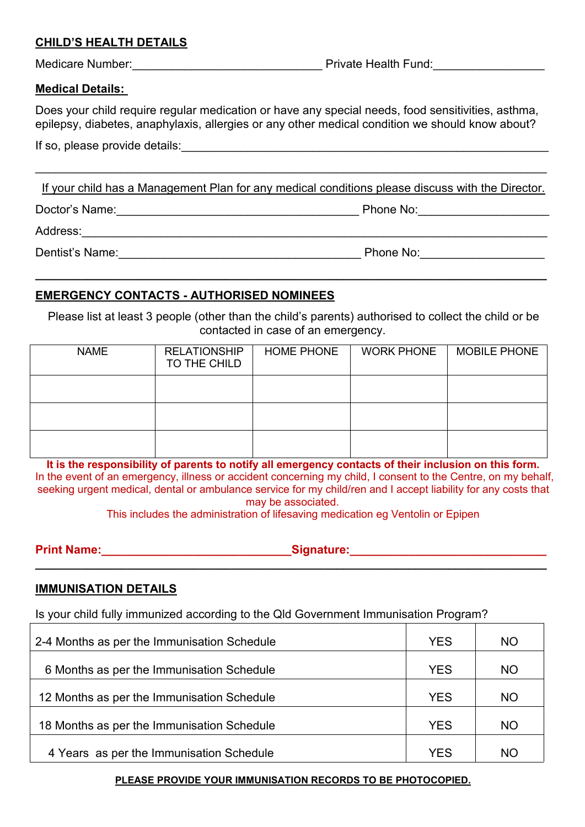### **CHILD'S HEALTH DETAILS**

Medicare Number:\_\_\_\_\_\_\_\_\_\_\_\_\_\_\_\_\_\_\_\_\_\_\_\_\_\_\_\_\_ Private Health Fund:\_\_\_\_\_\_\_\_\_\_\_\_\_\_\_\_\_

#### **Medical Details:**

Does your child require regular medication or have any special needs, food sensitivities, asthma, epilepsy, diabetes, anaphylaxis, allergies or any other medical condition we should know about?

If your child has a Management Plan for any medical conditions please discuss with the Director.

Doctor's Name: etc. and the set of the set of the Phone No: contract the Phone No:

 $\overline{\phantom{a}}$  , and the contribution of the contribution of the contribution of the contribution of the contribution of the contribution of the contribution of the contribution of the contribution of the contribution of the

**\_\_\_\_\_\_\_\_\_\_\_\_\_\_\_\_\_\_\_\_\_\_\_\_\_\_\_\_\_\_\_\_\_\_\_\_\_\_\_\_\_\_\_\_\_\_\_\_\_\_\_\_\_\_\_\_\_\_\_\_\_\_\_\_\_\_\_\_\_\_\_\_\_\_\_\_\_\_**

Address:

Dentist's Name:\_\_\_\_\_\_\_\_\_\_\_\_\_\_\_\_\_\_\_\_\_\_\_\_\_\_\_\_\_\_\_\_\_\_\_\_\_ Phone No:\_\_\_\_\_\_\_\_\_\_\_\_\_\_\_\_\_\_\_

# **EMERGENCY CONTACTS - AUTHORISED NOMINEES**

Please list at least 3 people (other than the child's parents) authorised to collect the child or be contacted in case of an emergency.

| <b>NAME</b> | <b>RELATIONSHIP</b><br>TO THE CHILD | <b>HOME PHONE</b> | <b>WORK PHONE</b> | <b>MOBILE PHONE</b> |
|-------------|-------------------------------------|-------------------|-------------------|---------------------|
|             |                                     |                   |                   |                     |
|             |                                     |                   |                   |                     |
|             |                                     |                   |                   |                     |

**It is the responsibility of parents to notify all emergency contacts of their inclusion on this form.** In the event of an emergency, illness or accident concerning my child, I consent to the Centre, on my behalf, seeking urgent medical, dental or ambulance service for my child/ren and I accept liability for any costs that may be associated.<br>This includes the administration of lifesaving medication eg Ventolin or Epipen

**Print Name:\_\_\_\_\_\_\_\_\_\_\_\_\_\_\_\_\_\_\_\_\_\_\_\_\_\_\_\_\_Signature:\_\_\_\_\_\_\_\_\_\_\_\_\_\_\_\_\_\_\_\_\_\_\_\_\_\_\_\_\_\_**

**\_\_\_\_\_\_\_\_\_\_\_\_\_\_\_\_\_\_\_\_\_\_\_\_\_\_\_\_\_\_\_\_\_\_\_\_\_\_\_\_\_\_\_\_\_\_\_\_\_\_\_\_\_\_\_\_\_\_\_\_\_\_\_\_\_\_\_\_\_\_\_\_\_\_\_\_\_\_**

### **IMMUNISATION DETAILS**

Is your child fully immunized according to the Qld Government Immunisation Program?

| 2-4 Months as per the Immunisation Schedule | <b>YES</b> | <b>NO</b> |  |
|---------------------------------------------|------------|-----------|--|
| 6 Months as per the Immunisation Schedule   | <b>YES</b> | <b>NO</b> |  |
| 12 Months as per the Immunisation Schedule  | <b>YES</b> | <b>NO</b> |  |
| 18 Months as per the Immunisation Schedule  | <b>YES</b> | <b>NO</b> |  |
| 4 Years as per the Immunisation Schedule    | YES        | ΝO        |  |

#### **PLEASE PROVIDE YOUR IMMUNISATION RECORDS TO BE PHOTOCOPIED.**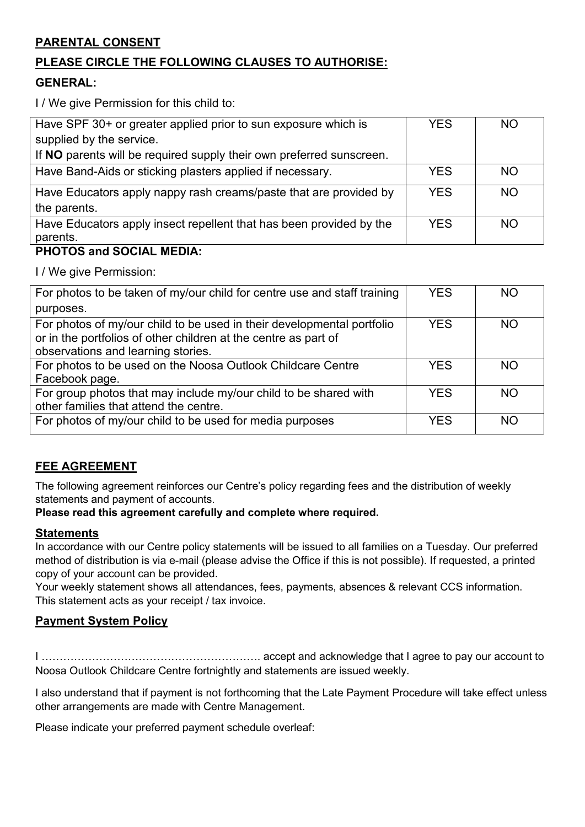# **PARENTAL CONSENT**

# **PLEASE CIRCLE THE FOLLOWING CLAUSES TO AUTHORISE:**

### **GENERAL:**

I / We give Permission for this child to:

| Have SPF 30+ or greater applied prior to sun exposure which is       | <b>YES</b> | <b>NO</b> |
|----------------------------------------------------------------------|------------|-----------|
| supplied by the service.                                             |            |           |
| If NO parents will be required supply their own preferred sunscreen. |            |           |
| Have Band-Aids or sticking plasters applied if necessary.            | <b>YES</b> | <b>NO</b> |
| Have Educators apply nappy rash creams/paste that are provided by    | <b>YES</b> | <b>NO</b> |
| the parents.                                                         |            |           |
| Have Educators apply insect repellent that has been provided by the  | <b>YES</b> | <b>NO</b> |
| parents.                                                             |            |           |

### **PHOTOS and SOCIAL MEDIA:**

I / We give Permission:

| For photos to be taken of my/our child for centre use and staff training | <b>YES</b> | <b>NO</b> |  |
|--------------------------------------------------------------------------|------------|-----------|--|
| purposes.                                                                |            |           |  |
| For photos of my/our child to be used in their developmental portfolio   | <b>YES</b> | <b>NO</b> |  |
| or in the portfolios of other children at the centre as part of          |            |           |  |
| observations and learning stories.                                       |            |           |  |
| For photos to be used on the Noosa Outlook Childcare Centre              | <b>YES</b> | <b>NO</b> |  |
| Facebook page.                                                           |            |           |  |
| For group photos that may include my/our child to be shared with         | <b>YES</b> | <b>NO</b> |  |
| other families that attend the centre.                                   |            |           |  |
| For photos of my/our child to be used for media purposes                 | <b>YES</b> | <b>NO</b> |  |
|                                                                          |            |           |  |

### **FEE AGREEMENT**

The following agreement reinforces our Centre's policy regarding fees and the distribution of weekly statements and payment of accounts.

#### **Please read this agreement carefully and complete where required.**

#### **Statements**

In accordance with our Centre policy statements will be issued to all families on a Tuesday. Our preferred method of distribution is via e-mail (please advise the Office if this is not possible). If requested, a printed copy of your account can be provided.

Your weekly statement shows all attendances, fees, payments, absences & relevant CCS information. This statement acts as your receipt / tax invoice.

### **Payment System Policy**

I ……………………………………………………. accept and acknowledge that I agree to pay our account to Noosa Outlook Childcare Centre fortnightly and statements are issued weekly.

I also understand that if payment is not forthcoming that the Late Payment Procedure will take effect unless other arrangements are made with Centre Management.

Please indicate your preferred payment schedule overleaf: